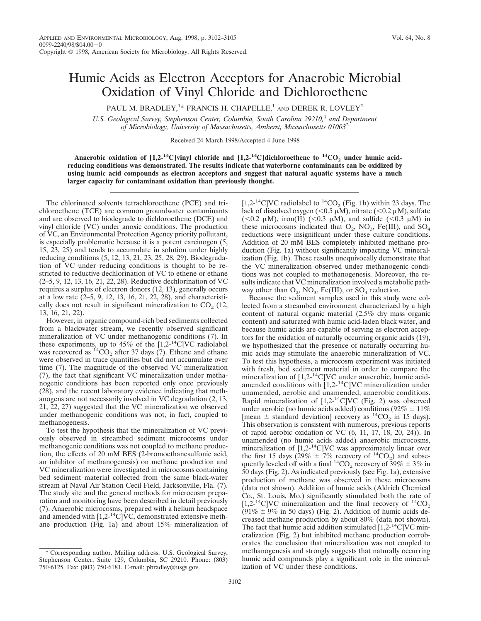## Humic Acids as Electron Acceptors for Anaerobic Microbial Oxidation of Vinyl Chloride and Dichloroethene

PAUL M. BRADLEY,<sup>1\*</sup> FRANCIS H. CHAPELLE,<sup>1</sup> AND DEREK R. LOVLEY<sup>2</sup>

*U.S. Geological Survey, Stephenson Center, Columbia, South Carolina 29210,*<sup>1</sup> *and Department of Microbiology, University of Massachusetts, Amherst, Massachusetts 01003*<sup>2</sup>

Received 24 March 1998/Accepted 4 June 1998

Anaerobic oxidation of  $[1,2^{-14}C]$ vinyl chloride and  $[1,2^{-14}C]$ dichloroethene to  ${}^{14}CO_2$  under humic acid**reducing conditions was demonstrated. The results indicate that waterborne contaminants can be oxidized by using humic acid compounds as electron acceptors and suggest that natural aquatic systems have a much larger capacity for contaminant oxidation than previously thought.**

The chlorinated solvents tetrachloroethene (PCE) and trichloroethene (TCE) are common groundwater contaminants and are observed to biodegrade to dichloroethene (DCE) and vinyl chloride (VC) under anoxic conditions. The production of VC, an Environmental Protection Agency priority pollutant, is especially problematic because it is a potent carcinogen (5, 15, 23, 25) and tends to accumulate in solution under highly reducing conditions (5, 12, 13, 21, 23, 25, 28, 29). Biodegradation of VC under reducing conditions is thought to be restricted to reductive dechlorination of VC to ethene or ethane (2–5, 9, 12, 13, 16, 21, 22, 28). Reductive dechlorination of VC requires a surplus of electron donors (12, 13), generally occurs at a low rate (2–5, 9, 12, 13, 16, 21, 22, 28), and characteristically does not result in significant mineralization to  $CO<sub>2</sub>$  (12, 13, 16, 21, 22).

However, in organic compound-rich bed sediments collected from a blackwater stream, we recently observed significant mineralization of VC under methanogenic conditions (7). In these experiments, up to 45% of the  $[1,2^{-14}$ C]VC radiolabel was recovered as  ${}^{14}CO_2$  after 37 days (7). Ethene and ethane were observed in trace quantities but did not accumulate over time (7). The magnitude of the observed VC mineralization (7), the fact that significant VC mineralization under methanogenic conditions has been reported only once previously (28), and the recent laboratory evidence indicating that methanogens are not necessarily involved in VC degradation (2, 13, 21, 22, 27) suggested that the VC mineralization we observed under methanogenic conditions was not, in fact, coupled to methanogenesis.

To test the hypothesis that the mineralization of VC previously observed in streambed sediment microcosms under methanogenic conditions was not coupled to methane production, the effects of 20 mM BES (2-bromoethanesulfonic acid, an inhibitor of methanogenesis) on methane production and VC mineralization were investigated in microcosms containing bed sediment material collected from the same black-water stream at Naval Air Station Cecil Field, Jacksonville, Fla. (7). The study site and the general methods for microcosm preparation and monitoring have been described in detail previously (7). Anaerobic microcosms, prepared with a helium headspace and amended with  $[1,2^{-14}C]VC$ , demonstrated extensive methane production (Fig. 1a) and about 15% mineralization of [1,2-<sup>14</sup>C]VC radiolabel to <sup>14</sup>CO<sub>2</sub> (Fig. 1b) within 23 days. The lack of dissolved oxygen (<0.5  $\mu$ M), nitrate (<0.2  $\mu$ M), sulfate (<0.2  $\mu$ M), iron(II) (<0.3  $\mu$ M), and sulfide (<0.3  $\mu$ M) in these microcosms indicated that  $O_2$ ,  $NO_3$ , Fe(III), and  $SO_4$ reductions were insignificant under these culture conditions. Addition of 20 mM BES completely inhibited methane production (Fig. 1a) without significantly impacting VC mineralization (Fig. 1b). These results unequivocally demonstrate that the VC mineralization observed under methanogenic conditions was not coupled to methanogenesis. Moreover, the results indicate that VC mineralization involved a metabolic pathway other than  $O_2$ ,  $NO_3$ , Fe(III), or  $SO_4$  reduction.

Because the sediment samples used in this study were collected from a streambed environment characterized by a high content of natural organic material (2.5% dry mass organic content) and saturated with humic acid-laden black water, and because humic acids are capable of serving as electron acceptors for the oxidation of naturally occurring organic acids (19), we hypothesized that the presence of naturally occurring humic acids may stimulate the anaerobic mineralization of VC. To test this hypothesis, a microcosm experiment was initiated with fresh, bed sediment material in order to compare the mineralization of  $[1,2^{-14}C]$ VC under anaerobic, humic acidamended conditions with  $[1,2^{-14}C]VC$  mineralization under unamended, aerobic and unamended, anaerobic conditions. Rapid mineralization of  $[1,2^{-14}C]VC$  (Fig. 2) was observed under aerobic (no humic acids added) conditions (92%  $\pm$  11% [mean  $\pm$  standard deviation] recovery as <sup>14</sup>CO<sub>2</sub> in 15 days). This observation is consistent with numerous, previous reports of rapid aerobic oxidation of VC (6, 11, 17, 18, 20, 24)). In unamended (no humic acids added) anaerobic microcosms, mineralization of [1,2-<sup>14</sup>C]VC was approximately linear over the first 15 days (29%  $\pm$  7% recovery of <sup>14</sup>CO<sub>2</sub>) and subsequently leveled off with a final <sup>14</sup>CO<sub>2</sub> recovery of  $39\% \pm 3\%$  in 50 days (Fig. 2). As indicated previously (see Fig. 1a), extensive production of methane was observed in these microcosms (data not shown). Addition of humic acids (Aldrich Chemical Co., St. Louis, Mo.) significantly stimulated both the rate of [1,2-<sup>14</sup>C]VC mineralization and the final recovery of  ${}^{14}CO_2$ (91%  $\pm$  9% in 50 days) (Fig. 2). Addition of humic acids decreased methane production by about 80% (data not shown). The fact that humic acid addition stimulated  $[1,2^{-14}C]$ VC mineralization (Fig. 2) but inhibited methane production corroborates the conclusion that mineralization was not coupled to methanogenesis and strongly suggests that naturally occurring humic acid compounds play a significant role in the mineralization of VC under these conditions.

<sup>\*</sup> Corresponding author. Mailing address: U.S. Geological Survey, Stephenson Center, Suite 129, Columbia, SC 29210. Phone: (803) 750-6125. Fax: (803) 750-6181. E-mail: pbradley@usgs.gov.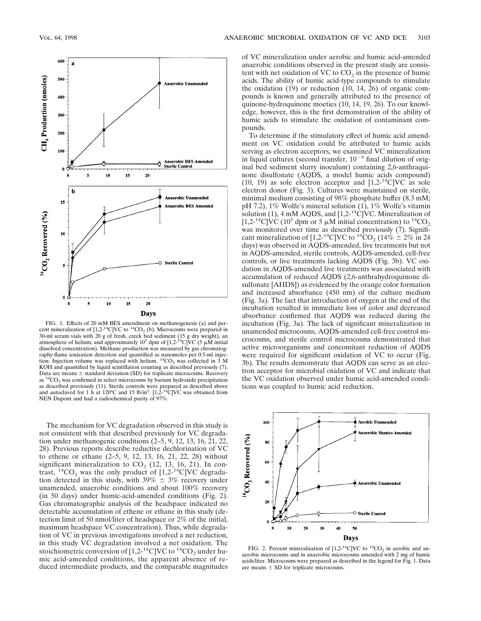

FIG. 1. Effects of 20 mM BES amendment on methanogenesis (a) and percent mineralization of  $[1,2^{-14}C]VC$  to  $^{14}CO_2$  (b). Microcosms were prepared in 30-ml serum vials with 20 g of fresh, creek bed sediment (15 g dry weight), an atmosphere of helium, and approximately 10<sup>5</sup> dpm of [1,2<sup>14</sup>C]VC (5  $\mu$ M initial dissolved concentration). Methane production was measured by gas chromatography-flame ionization detection and quantified as nanomoles per 0.5-ml injection. Injection volume was replaced with helium.  ${}^{14}CO_2$  was collected in 3 M KOH and quantified by liquid scintillation counting as described previously (7). Data are means  $\pm$  standard deviation (SD) for triplicate microcosms. Recovery as  ${}^{14}CO_2$  was confirmed in select microcosms by barium hydroxide precipitation as described previously (11). Sterile controls were prepared as described above<br>and autoclaved for 1 h at 120°C and 15 lb/in<sup>2</sup>. [1,2-<sup>14</sup>C]VC was obtained from NEN Dupont and had a radiochemical purity of 97%.

The mechanism for VC degradation observed in this study is not consistent with that described previously for VC degradation under methanogenic conditions (2–5, 9, 12, 13, 16, 21, 22, 28). Previous reports describe reductive dechlorination of VC to ethene or ethane (2–5, 9, 12, 13, 16, 21, 22, 28) without significant mineralization to  $CO<sub>2</sub>$  (12, 13, 16, 21). In contrast,  ${}^{14}CO_2$  was the only product of [1,2- ${}^{14}C$ ]VC degradation detected in this study, with  $39\% \pm 3\%$  recovery under unamended, anaerobic conditions and about 100% recovery (in 50 days) under humic-acid-amended conditions (Fig. 2). Gas chromatographic analysis of the headspace indicated no detectable accumulation of ethene or ethane in this study (detection limit of 50 nmol/liter of headspace or 2% of the initial, maximum headspace VC concentration). Thus, while degradation of VC in previous investigations involved a net reduction, in this study  $\hat{V}C$  degradation involved a net oxidation. The stoichiometric conversion of  $[1,2^{-14}C]$ VC to  $^{14}CO_2$  under humic acid-amended conditions, the apparent absence of reduced intermediate products, and the comparable magnitudes

of VC mineralization under aerobic and humic acid-amended anaerobic conditions observed in the present study are consistent with net oxidation of VC to  $CO<sub>2</sub>$  in the presence of humic acids. The ability of humic acid-type compounds to stimulate the oxidation (19) or reduction (10, 14, 26) of organic compounds is known and generally attributed to the presence of quinone-hydroquinone moeties (10, 14, 19, 26). To our knowledge, however, this is the first demonstration of the ability of humic acids to stimulate the oxidation of contaminant compounds.

To determine if the stimulatory effect of humic acid amendment on VC oxidation could be attributed to humic acids serving as electron acceptors, we examined VC mineralization in liquid cultures (second transfer,  $10^{-4}$  final dilution of original bed sediment slurry inoculum) containing 2,6-anthraquinone disulfonate (AQDS, a model humic acids compound) (10, 19) as sole electron acceptor and  $[1,2^{-14}C]$ VC as sole electron donor (Fig. 3). Cultures were maintained on sterile, minimal medium consisting of 98% phosphate buffer (8.3 mM; pH 7.2), 1% Wolfe's mineral solution (1), 1% Wolfe's vitamin solution (1), 4 mM AQDS, and  $[1,2^{-14}C]$ VC. Mineralization of [1,2-<sup>14</sup>C]VC (10<sup>5</sup> dpm or 5  $\mu$ M initial concentration) to <sup>14</sup>CO<sub>2</sub> was monitored over time as described previously (7). Significant mineralization of  $[1,2^{-14}C]VC$  to  $^{14}CO_2$  (14%  $\pm$  2% in 24 days) was observed in AQDS-amended, live treatments but not in AQDS-amended, sterile controls, AQDS-amended, cell-free controls, or live treatments lacking AQDS (Fig. 3b). VC oxidation in AQDS-amended live treatments was associated with accumulation of reduced AQDS (2,6-anthrahydroquinone disulfonate [AHDS]) as evidenced by the orange color formation and increased absorbance (450 nm) of the culture medium (Fig. 3a). The fact that introduction of oxygen at the end of the incubation resulted in immediate loss of color and decreased absorbance confirmed that AQDS was reduced during the incubation (Fig. 3a). The lack of significant mineralization in unamended microcosms, AQDS-amended cell-free control microcosms, and sterile control microcosms demonstrated that active microorganisms and concomitant reduction of AQDS were required for significant oxidation of VC to occur (Fig. 3b). The results demonstrate that AQDS can serve as an electron acceptor for microbial oxidation of VC and indicate that the VC oxidation observed under humic acid-amended conditions was coupled to humic acid reduction.



FIG. 2. Percent mineralization of  $[1,2^{-14}C]VC$  to  $^{14}CO_2$  in aerobic and anaerobic microcosms and in anaerobic microcosms amended with 2 mg of humic acids/liter. Microcosms were prepared as described in the legend for Fig. 1. Data are means  $\pm$  SD for triplicate microcosms.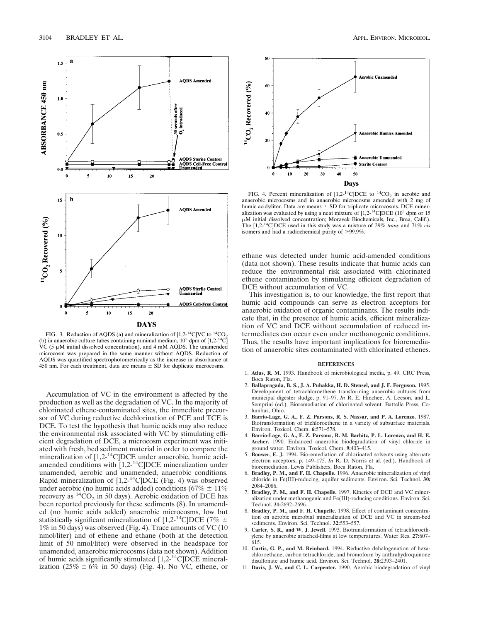

FIG. 3. Reduction of AQDS (a) and mineralization of  $[1,2^{-14}C]$ VC to  $^{14}CO_2$ (b) in anaerobic culture tubes containing minimal medium,  $10^5$  dpm of  $[1,2^{-14}C]$ VC (5  $\mu$ M initial dissolved concentration), and 4 mM AQDS. The unamended microcosm was prepared in the same manner without AQDS. Reduction of AQDS was quantified spectrophotometrically as the increase in absorbance at 450 nm. For each treatment, data are means  $\pm$  SD for duplicate microcosms.

Accumulation of VC in the environment is affected by the production as well as the degradation of VC. In the majority of chlorinated ethene-contaminated sites, the immediate precursor of VC during reductive dechlorination of PCE and TCE is DCE. To test the hypothesis that humic acids may also reduce the environmental risk associated with VC by stimulating efficient degradation of DCE, a microcosm experiment was initiated with fresh, bed sediment material in order to compare the mineralization of [1,2-<sup>14</sup>C]DCE under anaerobic, humic acidamended conditions with [1,2-14C]DCE mineralization under unamended, aerobic and unamended, anaerobic conditions. Rapid mineralization of [1,2-14C]DCE (Fig. 4) was observed under aerobic (no humic acids added) conditions (67%  $\pm$  11% recovery as  ${}^{14}CO_2$  in 50 days). Aerobic oxidation of DCE has been reported previously for these sediments (8). In unamended (no humic acids added) anaerobic microcosms, low but statistically significant mineralization of [1,2-<sup>14</sup>C]DCE (7\%  $\pm$ 1% in 50 days) was observed (Fig. 4). Trace amounts of VC (10 nmol/liter) and of ethene and ethane (both at the detection limit of 50 nmol/liter) were observed in the headspace for unamended, anaerobic microcosms (data not shown). Addition of humic acids significantly stimulated  $[1,2^{-14}C]DCE$  mineralization (25%  $\pm$  6% in 50 days) (Fig. 4). No VC, ethene, or



FIG. 4. Percent mineralization of  $[1,2^{-14}C]DCE$  to  $^{14}CO<sub>2</sub>$  in aerobic and anaerobic microcosms and in anaerobic microcosms amended with 2 mg of humic acids/liter. Data are means  $\pm$  SD for triplicate microcosms. DCE mineralization was evaluated by using a neat mixture of  $[1,2^{-14}C]DCE$  (10<sup>5</sup> dpm or 15 mM initial dissolved concentration; Moravek Biochemicals, Inc., Brea, Calif.). The [1,2-14C]DCE used in this study was a mixture of 29% *trans* and 71% *cis* isomers and had a radiochemical purity of  $\geq$ 99.9%.

ethane was detected under humic acid-amended conditions (data not shown). These results indicate that humic acids can reduce the environmental risk associated with chlorinated ethene contamination by stimulating efficient degradation of DCE without accumulation of VC.

This investigation is, to our knowledge, the first report that humic acid compounds can serve as electron acceptors for anaerobic oxidation of organic contaminants. The results indicate that, in the presence of humic acids, efficient mineralization of VC and DCE without accumulation of reduced intermediates can occur even under methanogenic conditions. Thus, the results have important implications for bioremediation of anaerobic sites contaminated with chlorinated ethenes.

## **REFERENCES**

- 1. **Atlas, R. M.** 1993. Handbook of microbiological media, p. 49. CRC Press, Boca Raton, Fla.
- 2. **Ballapragada, B. S., J. A. Puhakka, H. D. Stensel, and J. F. Ferguson.** 1995. Development of tetrachloroethene transforming anaerobic cultures from municipal digester sludge, p. 91–97. *In* R. E. Hinchee, A. Leeson, and L. Semprini (ed.), Bioremediation of chlorinated solvent. Battelle Press, Columbus, Ohio.
- 3. **Barrio-Lage, G. A., F. Z. Parsons, R. S. Nassar, and P. A. Lorenzo.** 1987. Biotransformation of trichloroethene in a variety of subsurface materials. Environ. Toxicol. Chem. **6:**571–578.
- 4. **Barrio-Lage, G. A., F. Z. Parsons, R. M. Barbitz, P. L. Lorenzo, and H. E. Archer.** 1990. Enhanced anaerobic biodegradation of vinyl chloride in ground water. Environ. Toxicol. Chem. **9:**403–415.
- 5. **Bouwer, E. J.** 1994. Bioremediation of chlorinated solvents using alternate electron acceptors, p. 149–175. *In* R. D. Norris et al. (ed.), Handbook of bioremediation. Lewis Publishers, Boca Raton, Fla.
- 6. **Bradley, P. M., and F. H. Chapelle.** 1996. Anaerobic mineralization of vinyl chloride in Fe(III)-reducing, aquifer sediments. Environ. Sci. Technol. **30:** 2084–2086.
- 7. **Bradley, P. M., and F. H. Chapelle.** 1997. Kinetics of DCE and VC mineralization under methanogenic and Fe(III)-reducing conditions. Environ. Sci. Technol. **31:**2692–2696.
- 8. **Bradley, P. M., and F. H. Chapelle.** 1998. Effect of contaminant concentration on aerobic microbial mineralization of DCE and VC in stream-bed sediments. Environ. Sci. Technol. **32:**553–557.
- 9. **Carter, S. R., and W. J. Jewell.** 1993. Biotransformation of tetrachloroethylene by anaerobic attached-films at low temperatures. Water Res. **27:**607– 615.
- 10. **Curtis, G. P., and M. Reinhard.** 1994. Reductive dehalogenation of hexachloroethane, carbon tetrachloride, and bromoform by anthrahydroquinone disulfonate and humic acid. Environ. Sci. Technol. **28:**2393–2401.
- 11. **Davis, J. W., and C. L. Carpenter.** 1990. Aerobic biodegradation of vinyl